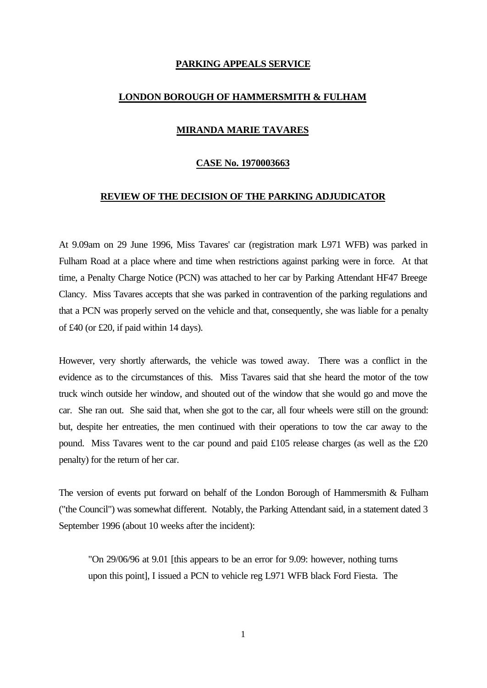# **PARKING APPEALS SERVICE**

### **LONDON BOROUGH OF HAMMERSMITH & FULHAM**

# **MIRANDA MARIE TAVARES**

# **CASE No. 1970003663**

#### **REVIEW OF THE DECISION OF THE PARKING ADJUDICATOR**

At 9.09am on 29 June 1996, Miss Tavares' car (registration mark L971 WFB) was parked in Fulham Road at a place where and time when restrictions against parking were in force. At that time, a Penalty Charge Notice (PCN) was attached to her car by Parking Attendant HF47 Breege Clancy. Miss Tavares accepts that she was parked in contravention of the parking regulations and that a PCN was properly served on the vehicle and that, consequently, she was liable for a penalty of £40 (or £20, if paid within 14 days).

However, very shortly afterwards, the vehicle was towed away. There was a conflict in the evidence as to the circumstances of this. Miss Tavares said that she heard the motor of the tow truck winch outside her window, and shouted out of the window that she would go and move the car. She ran out. She said that, when she got to the car, all four wheels were still on the ground: but, despite her entreaties, the men continued with their operations to tow the car away to the pound. Miss Tavares went to the car pound and paid £105 release charges (as well as the £20 penalty) for the return of her car.

The version of events put forward on behalf of the London Borough of Hammersmith  $\&$  Fulham ("the Council") was somewhat different. Notably, the Parking Attendant said, in a statement dated 3 September 1996 (about 10 weeks after the incident):

"On 29/06/96 at 9.01 [this appears to be an error for 9.09: however, nothing turns upon this point], I issued a PCN to vehicle reg L971 WFB black Ford Fiesta. The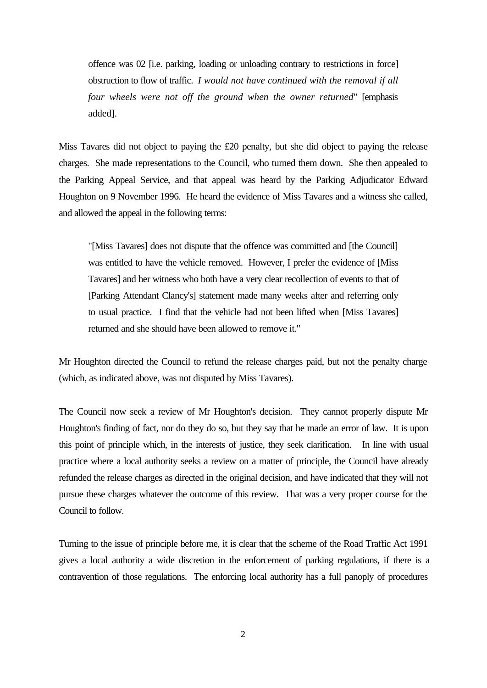offence was 02 [i.e. parking, loading or unloading contrary to restrictions in force] obstruction to flow of traffic. *I would not have continued with the removal if all four wheels were not off the ground when the owner returned*" [emphasis added].

Miss Tavares did not object to paying the £20 penalty, but she did object to paying the release charges. She made representations to the Council, who turned them down. She then appealed to the Parking Appeal Service, and that appeal was heard by the Parking Adjudicator Edward Houghton on 9 November 1996. He heard the evidence of Miss Tavares and a witness she called, and allowed the appeal in the following terms:

"[Miss Tavares] does not dispute that the offence was committed and [the Council] was entitled to have the vehicle removed. However, I prefer the evidence of [Miss Tavares] and her witness who both have a very clear recollection of events to that of [Parking Attendant Clancy's] statement made many weeks after and referring only to usual practice. I find that the vehicle had not been lifted when [Miss Tavares] returned and she should have been allowed to remove it."

Mr Houghton directed the Council to refund the release charges paid, but not the penalty charge (which, as indicated above, was not disputed by Miss Tavares).

The Council now seek a review of Mr Houghton's decision. They cannot properly dispute Mr Houghton's finding of fact, nor do they do so, but they say that he made an error of law. It is upon this point of principle which, in the interests of justice, they seek clarification. In line with usual practice where a local authority seeks a review on a matter of principle, the Council have already refunded the release charges as directed in the original decision, and have indicated that they will not pursue these charges whatever the outcome of this review. That was a very proper course for the Council to follow.

Turning to the issue of principle before me, it is clear that the scheme of the Road Traffic Act 1991 gives a local authority a wide discretion in the enforcement of parking regulations, if there is a contravention of those regulations. The enforcing local authority has a full panoply of procedures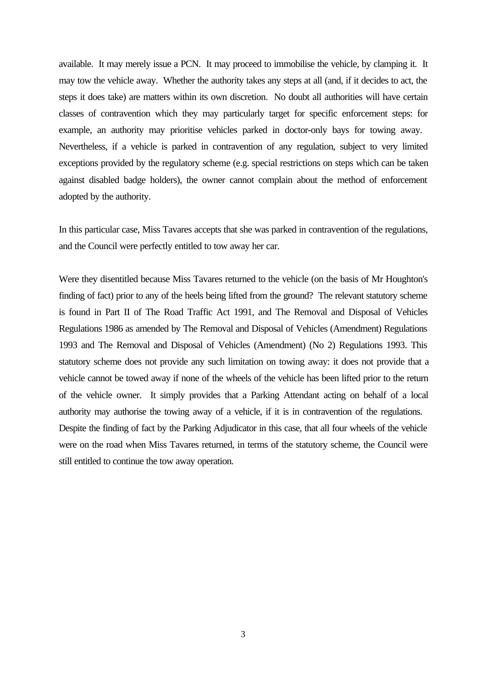available. It may merely issue a PCN. It may proceed to immobilise the vehicle, by clamping it. It may tow the vehicle away. Whether the authority takes any steps at all (and, if it decides to act, the steps it does take) are matters within its own discretion. No doubt all authorities will have certain classes of contravention which they may particularly target for specific enforcement steps: for example, an authority may prioritise vehicles parked in doctor-only bays for towing away. Nevertheless, if a vehicle is parked in contravention of any regulation, subject to very limited exceptions provided by the regulatory scheme (e.g. special restrictions on steps which can be taken against disabled badge holders), the owner cannot complain about the method of enforcement adopted by the authority.

In this particular case, Miss Tavares accepts that she was parked in contravention of the regulations, and the Council were perfectly entitled to tow away her car.

Were they disentitled because Miss Tavares returned to the vehicle (on the basis of Mr Houghton's finding of fact) prior to any of the heels being lifted from the ground? The relevant statutory scheme is found in Part II of The Road Traffic Act 1991, and The Removal and Disposal of Vehicles Regulations 1986 as amended by The Removal and Disposal of Vehicles (Amendment) Regulations 1993 and The Removal and Disposal of Vehicles (Amendment) (No 2) Regulations 1993. This statutory scheme does not provide any such limitation on towing away: it does not provide that a vehicle cannot be towed away if none of the wheels of the vehicle has been lifted prior to the return of the vehicle owner. It simply provides that a Parking Attendant acting on behalf of a local authority may authorise the towing away of a vehicle, if it is in contravention of the regulations. Despite the finding of fact by the Parking Adjudicator in this case, that all four wheels of the vehicle were on the road when Miss Tavares returned, in terms of the statutory scheme, the Council were still entitled to continue the tow away operation.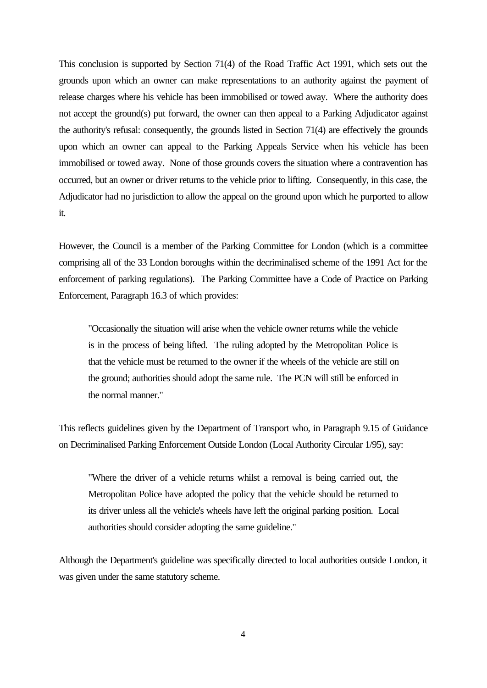This conclusion is supported by Section 71(4) of the Road Traffic Act 1991, which sets out the grounds upon which an owner can make representations to an authority against the payment of release charges where his vehicle has been immobilised or towed away. Where the authority does not accept the ground(s) put forward, the owner can then appeal to a Parking Adjudicator against the authority's refusal: consequently, the grounds listed in Section 71(4) are effectively the grounds upon which an owner can appeal to the Parking Appeals Service when his vehicle has been immobilised or towed away. None of those grounds covers the situation where a contravention has occurred, but an owner or driver returns to the vehicle prior to lifting. Consequently, in this case, the Adjudicator had no jurisdiction to allow the appeal on the ground upon which he purported to allow it.

However, the Council is a member of the Parking Committee for London (which is a committee comprising all of the 33 London boroughs within the decriminalised scheme of the 1991 Act for the enforcement of parking regulations). The Parking Committee have a Code of Practice on Parking Enforcement, Paragraph 16.3 of which provides:

"Occasionally the situation will arise when the vehicle owner returns while the vehicle is in the process of being lifted. The ruling adopted by the Metropolitan Police is that the vehicle must be returned to the owner if the wheels of the vehicle are still on the ground; authorities should adopt the same rule. The PCN will still be enforced in the normal manner."

This reflects guidelines given by the Department of Transport who, in Paragraph 9.15 of Guidance on Decriminalised Parking Enforcement Outside London (Local Authority Circular 1/95), say:

"Where the driver of a vehicle returns whilst a removal is being carried out, the Metropolitan Police have adopted the policy that the vehicle should be returned to its driver unless all the vehicle's wheels have left the original parking position. Local authorities should consider adopting the same guideline."

Although the Department's guideline was specifically directed to local authorities outside London, it was given under the same statutory scheme.